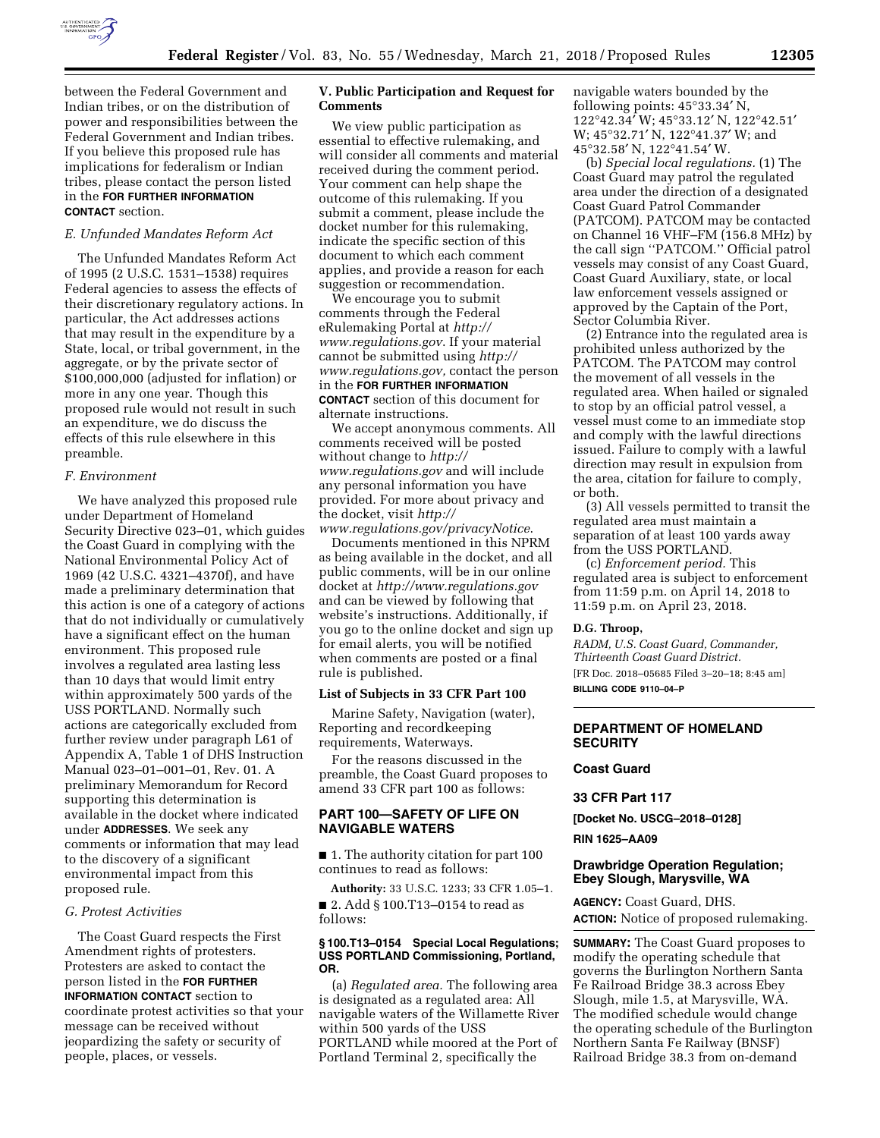

between the Federal Government and Indian tribes, or on the distribution of power and responsibilities between the Federal Government and Indian tribes. If you believe this proposed rule has implications for federalism or Indian tribes, please contact the person listed in the **FOR FURTHER INFORMATION CONTACT** section.

### *E. Unfunded Mandates Reform Act*

The Unfunded Mandates Reform Act of 1995 (2 U.S.C. 1531–1538) requires Federal agencies to assess the effects of their discretionary regulatory actions. In particular, the Act addresses actions that may result in the expenditure by a State, local, or tribal government, in the aggregate, or by the private sector of \$100,000,000 (adjusted for inflation) or more in any one year. Though this proposed rule would not result in such an expenditure, we do discuss the effects of this rule elsewhere in this preamble.

#### *F. Environment*

We have analyzed this proposed rule under Department of Homeland Security Directive 023–01, which guides the Coast Guard in complying with the National Environmental Policy Act of 1969 (42 U.S.C. 4321–4370f), and have made a preliminary determination that this action is one of a category of actions that do not individually or cumulatively have a significant effect on the human environment. This proposed rule involves a regulated area lasting less than 10 days that would limit entry within approximately 500 yards of the USS PORTLAND. Normally such actions are categorically excluded from further review under paragraph L61 of Appendix A, Table 1 of DHS Instruction Manual 023–01–001–01, Rev. 01. A preliminary Memorandum for Record supporting this determination is available in the docket where indicated under **ADDRESSES**. We seek any comments or information that may lead to the discovery of a significant environmental impact from this proposed rule.

### *G. Protest Activities*

The Coast Guard respects the First Amendment rights of protesters. Protesters are asked to contact the person listed in the **FOR FURTHER INFORMATION CONTACT** section to coordinate protest activities so that your message can be received without jeopardizing the safety or security of people, places, or vessels.

# **V. Public Participation and Request for Comments**

We view public participation as essential to effective rulemaking, and will consider all comments and material received during the comment period. Your comment can help shape the outcome of this rulemaking. If you submit a comment, please include the docket number for this rulemaking, indicate the specific section of this document to which each comment applies, and provide a reason for each suggestion or recommendation.

We encourage you to submit comments through the Federal eRulemaking Portal at *[http://](http://www.regulations.gov) [www.regulations.gov](http://www.regulations.gov)*. If your material cannot be submitted using *[http://](http://www.regulations.gov) [www.regulations.gov,](http://www.regulations.gov)* contact the person in the **FOR FURTHER INFORMATION CONTACT** section of this document for alternate instructions.

We accept anonymous comments. All comments received will be posted without change to *[http://](http://www.regulations.gov) [www.regulations.gov](http://www.regulations.gov)* and will include any personal information you have provided. For more about privacy and the docket, visit *[http://](http://www.regulations.gov/privacyNotice) [www.regulations.gov/privacyNotice](http://www.regulations.gov/privacyNotice)*.

Documents mentioned in this NPRM as being available in the docket, and all public comments, will be in our online docket at *<http://www.regulations.gov>*  and can be viewed by following that website's instructions. Additionally, if you go to the online docket and sign up for email alerts, you will be notified when comments are posted or a final rule is published.

## **List of Subjects in 33 CFR Part 100**

Marine Safety, Navigation (water), Reporting and recordkeeping requirements, Waterways.

For the reasons discussed in the preamble, the Coast Guard proposes to amend 33 CFR part 100 as follows:

# **PART 100—SAFETY OF LIFE ON NAVIGABLE WATERS**

■ 1. The authority citation for part 100 continues to read as follows:

**Authority:** 33 U.S.C. 1233; 33 CFR 1.05–1. ■ 2. Add § 100.T13-0154 to read as follows:

#### **§ 100.T13–0154 Special Local Regulations; USS PORTLAND Commissioning, Portland, OR.**

(a) *Regulated area.* The following area is designated as a regulated area: All navigable waters of the Willamette River within 500 yards of the USS PORTLAND while moored at the Port of Portland Terminal 2, specifically the

navigable waters bounded by the following points: 45°33.34′ N, 122°42.34′ W; 45°33.12′ N, 122°42.51′ W; 45°32.71′ N, 122°41.37′ W; and 45°32.58′ N, 122°41.54′ W.

(b) *Special local regulations.* (1) The Coast Guard may patrol the regulated area under the direction of a designated Coast Guard Patrol Commander (PATCOM). PATCOM may be contacted on Channel 16 VHF–FM (156.8 MHz) by the call sign ''PATCOM.'' Official patrol vessels may consist of any Coast Guard, Coast Guard Auxiliary, state, or local law enforcement vessels assigned or approved by the Captain of the Port, Sector Columbia River.

(2) Entrance into the regulated area is prohibited unless authorized by the PATCOM. The PATCOM may control the movement of all vessels in the regulated area. When hailed or signaled to stop by an official patrol vessel, a vessel must come to an immediate stop and comply with the lawful directions issued. Failure to comply with a lawful direction may result in expulsion from the area, citation for failure to comply, or both.

(3) All vessels permitted to transit the regulated area must maintain a separation of at least 100 yards away from the USS PORTLAND.

(c) *Enforcement period.* This regulated area is subject to enforcement from 11:59 p.m. on April 14, 2018 to 11:59 p.m. on April 23, 2018.

### **D.G. Throop,**

*RADM, U.S. Coast Guard, Commander, Thirteenth Coast Guard District.*  [FR Doc. 2018–05685 Filed 3–20–18; 8:45 am] **BILLING CODE 9110–04–P** 

# **DEPARTMENT OF HOMELAND SECURITY**

**Coast Guard** 

**33 CFR Part 117** 

**[Docket No. USCG–2018–0128]** 

**RIN 1625–AA09** 

# **Drawbridge Operation Regulation; Ebey Slough, Marysville, WA**

**AGENCY:** Coast Guard, DHS. **ACTION:** Notice of proposed rulemaking.

**SUMMARY:** The Coast Guard proposes to modify the operating schedule that governs the Burlington Northern Santa Fe Railroad Bridge 38.3 across Ebey Slough, mile 1.5, at Marysville, WA. The modified schedule would change the operating schedule of the Burlington Northern Santa Fe Railway (BNSF) Railroad Bridge 38.3 from on-demand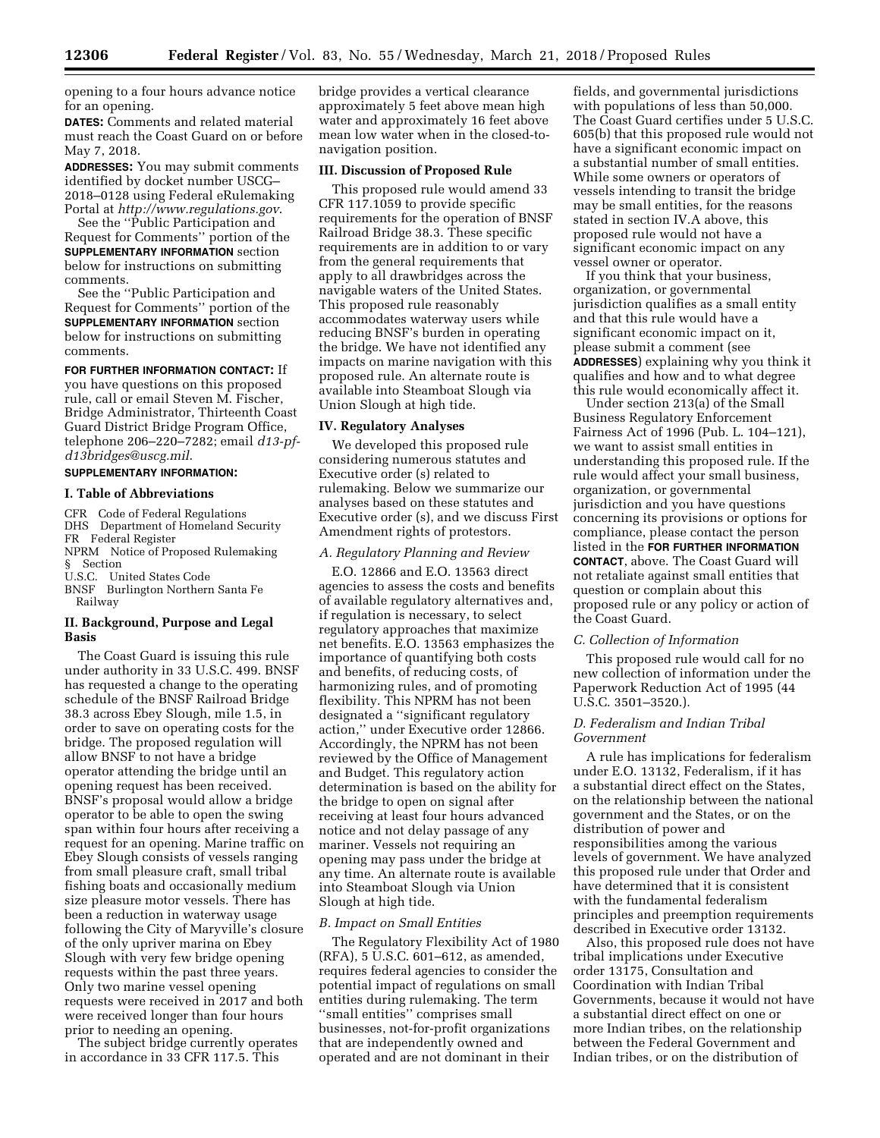opening to a four hours advance notice for an opening.

**DATES:** Comments and related material must reach the Coast Guard on or before May 7, 2018.

**ADDRESSES:** You may submit comments identified by docket number USCG– 2018–0128 using Federal eRulemaking Portal at *<http://www.regulations.gov>*.

See the ''Public Participation and Request for Comments'' portion of the **SUPPLEMENTARY INFORMATION** section below for instructions on submitting comments.

See the ''Public Participation and Request for Comments'' portion of the **SUPPLEMENTARY INFORMATION** section below for instructions on submitting comments.

**FOR FURTHER INFORMATION CONTACT:** If

you have questions on this proposed rule, call or email Steven M. Fischer, Bridge Administrator, Thirteenth Coast Guard District Bridge Program Office, telephone 206–220–7282; email *[d13-pf](mailto:d13-pf-d13bridges@uscg.mil)[d13bridges@uscg.mil](mailto:d13-pf-d13bridges@uscg.mil)*.

### **SUPPLEMENTARY INFORMATION:**

### **I. Table of Abbreviations**

CFR Code of Federal Regulations DHS Department of Homeland Security FR Federal Register NPRM Notice of Proposed Rulemaking § Section U.S.C. United States Code BNSF Burlington Northern Santa Fe Railway

# **II. Background, Purpose and Legal Basis**

The Coast Guard is issuing this rule under authority in 33 U.S.C. 499. BNSF has requested a change to the operating schedule of the BNSF Railroad Bridge 38.3 across Ebey Slough, mile 1.5, in order to save on operating costs for the bridge. The proposed regulation will allow BNSF to not have a bridge operator attending the bridge until an opening request has been received. BNSF's proposal would allow a bridge operator to be able to open the swing span within four hours after receiving a request for an opening. Marine traffic on Ebey Slough consists of vessels ranging from small pleasure craft, small tribal fishing boats and occasionally medium size pleasure motor vessels. There has been a reduction in waterway usage following the City of Maryville's closure of the only upriver marina on Ebey Slough with very few bridge opening requests within the past three years. Only two marine vessel opening requests were received in 2017 and both were received longer than four hours prior to needing an opening.

The subject bridge currently operates in accordance in 33 CFR 117.5. This

bridge provides a vertical clearance approximately 5 feet above mean high water and approximately 16 feet above mean low water when in the closed-tonavigation position.

## **III. Discussion of Proposed Rule**

This proposed rule would amend 33 CFR 117.1059 to provide specific requirements for the operation of BNSF Railroad Bridge 38.3. These specific requirements are in addition to or vary from the general requirements that apply to all drawbridges across the navigable waters of the United States. This proposed rule reasonably accommodates waterway users while reducing BNSF's burden in operating the bridge. We have not identified any impacts on marine navigation with this proposed rule. An alternate route is available into Steamboat Slough via Union Slough at high tide.

#### **IV. Regulatory Analyses**

We developed this proposed rule considering numerous statutes and Executive order (s) related to rulemaking. Below we summarize our analyses based on these statutes and Executive order (s), and we discuss First Amendment rights of protestors.

## *A. Regulatory Planning and Review*

E.O. 12866 and E.O. 13563 direct agencies to assess the costs and benefits of available regulatory alternatives and, if regulation is necessary, to select regulatory approaches that maximize net benefits. E.O. 13563 emphasizes the importance of quantifying both costs and benefits, of reducing costs, of harmonizing rules, and of promoting flexibility. This NPRM has not been designated a ''significant regulatory action,'' under Executive order 12866. Accordingly, the NPRM has not been reviewed by the Office of Management and Budget. This regulatory action determination is based on the ability for the bridge to open on signal after receiving at least four hours advanced notice and not delay passage of any mariner. Vessels not requiring an opening may pass under the bridge at any time. An alternate route is available into Steamboat Slough via Union Slough at high tide.

### *B. Impact on Small Entities*

The Regulatory Flexibility Act of 1980 (RFA), 5 U.S.C. 601–612, as amended, requires federal agencies to consider the potential impact of regulations on small entities during rulemaking. The term ''small entities'' comprises small businesses, not-for-profit organizations that are independently owned and operated and are not dominant in their

fields, and governmental jurisdictions with populations of less than 50,000. The Coast Guard certifies under 5 U.S.C. 605(b) that this proposed rule would not have a significant economic impact on a substantial number of small entities. While some owners or operators of vessels intending to transit the bridge may be small entities, for the reasons stated in section IV.A above, this proposed rule would not have a significant economic impact on any vessel owner or operator.

If you think that your business, organization, or governmental jurisdiction qualifies as a small entity and that this rule would have a significant economic impact on it, please submit a comment (see **ADDRESSES**) explaining why you think it qualifies and how and to what degree this rule would economically affect it.

Under section 213(a) of the Small Business Regulatory Enforcement Fairness Act of 1996 (Pub. L. 104–121), we want to assist small entities in understanding this proposed rule. If the rule would affect your small business, organization, or governmental jurisdiction and you have questions concerning its provisions or options for compliance, please contact the person listed in the **FOR FURTHER INFORMATION CONTACT**, above. The Coast Guard will not retaliate against small entities that question or complain about this proposed rule or any policy or action of the Coast Guard.

### *C. Collection of Information*

This proposed rule would call for no new collection of information under the Paperwork Reduction Act of 1995 (44 U.S.C. 3501–3520.).

# *D. Federalism and Indian Tribal Government*

A rule has implications for federalism under E.O. 13132, Federalism, if it has a substantial direct effect on the States, on the relationship between the national government and the States, or on the distribution of power and responsibilities among the various levels of government. We have analyzed this proposed rule under that Order and have determined that it is consistent with the fundamental federalism principles and preemption requirements described in Executive order 13132.

Also, this proposed rule does not have tribal implications under Executive order 13175, Consultation and Coordination with Indian Tribal Governments, because it would not have a substantial direct effect on one or more Indian tribes, on the relationship between the Federal Government and Indian tribes, or on the distribution of